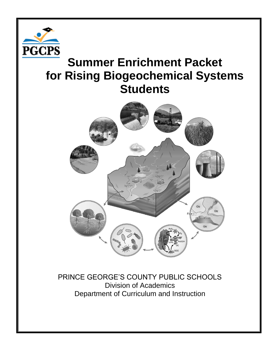

# **Summer Enrichment Packet for Rising Biogeochemical Systems Students**



PRINCE GEORGE'S COUNTY PUBLIC SCHOOLS Division of Academics Department of Curriculum and Instruction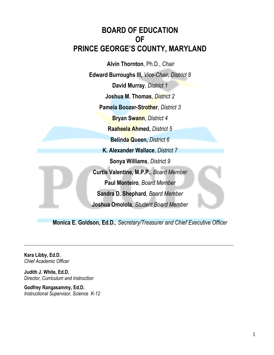## **BOARD OF EDUCATION OF PRINCE GEORGE'S COUNTY, MARYLAND**

**Alvin Thornton**, Ph.D., *Chair* **Edward Burroughs III,** *Vice-Chair, District 8* **David Murray**, *District 1* **Joshua M. Thomas**, *District 2* **Pamela Boozer-Strother**, *District 3* **Bryan Swann**, *District 4* **Raaheela Ahmed,** *District 5* **Belinda Queen,** *District 6* **K. Alexander Wallace**, *District 7* **Sonya Williams**, *District 9* **Curtis Valentine, M.P.P.**, *Board Member* **Paul Monteiro***, Board Member* **Sandra D. Shephard***, Board Member* **Joshua Omolola**, *Student Board Member*

**Monica E. Goldson, Ed.D.**, *Secretary/Treasurer and Chief Executive Officer*

**Kara Libby, Ed.D.** *Chief Academic Officer*

**Judith J. White, Ed.D.** *Director, Curriculum and Instruction*

**Godfrey Rangasammy, Ed.D.** *Instructional Supervisor, Science K-12*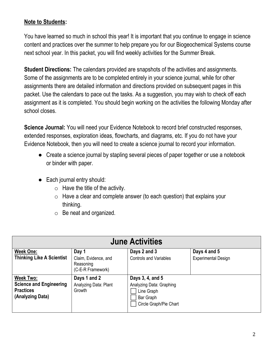## **Note to Students:**

You have learned so much in school this year! It is important that you continue to engage in science content and practices over the summer to help prepare you for our Biogeochemical Systems course next school year. In this packet, you will find weekly activities for the Summer Break.

**Student Directions:** The calendars provided are snapshots of the activities and assignments. Some of the assignments are to be completed entirely in your science journal, while for other assignments there are detailed information and directions provided on subsequent pages in this packet. Use the calendars to pace out the tasks. As a suggestion, you may wish to check off each assignment as it is completed. You should begin working on the activities the following Monday after school closes.

**Science Journal:** You will need your Evidence Notebook to record brief constructed responses, extended responses, exploration ideas, flowcharts, and diagrams, etc. If you do not have your Evidence Notebook, then you will need to create a science journal to record your information.

- Create a science journal by stapling several pieces of paper together or use a notebook or binder with paper.
- Each journal entry should:
	- $\circ$  Have the title of the activity.
	- $\circ$  Have a clear and complete answer (to each question) that explains your thinking.
	- o Be neat and organized.

| <b>June Activities</b>                                                                     |                                                                 |                                                                                                   |                                            |  |
|--------------------------------------------------------------------------------------------|-----------------------------------------------------------------|---------------------------------------------------------------------------------------------------|--------------------------------------------|--|
| <b>Week One:</b><br><b>Thinking Like A Scientist</b>                                       | Day 1<br>Claim, Evidence, and<br>Reasoning<br>(C-E-R Framework) | Days 2 and 3<br><b>Controls and Variables</b>                                                     | Days 4 and 5<br><b>Experimental Design</b> |  |
| <b>Week Two:</b><br><b>Science and Engineering</b><br><b>Practices</b><br>(Analyzing Data) | Days 1 and 2<br>Analyzing Data: Plant<br>Growth                 | Days 3, 4, and 5<br>Analyzing Data: Graphing<br>Line Graph<br>Bar Graph<br>Circle Graph/Pie Chart |                                            |  |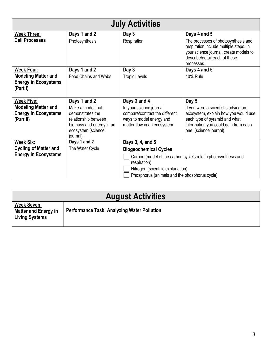| <b>July Activities</b>                                                                      |                                                                                                                                              |                                                                                                                                                                                                                          |                                                                                                                                                                                                        |  |
|---------------------------------------------------------------------------------------------|----------------------------------------------------------------------------------------------------------------------------------------------|--------------------------------------------------------------------------------------------------------------------------------------------------------------------------------------------------------------------------|--------------------------------------------------------------------------------------------------------------------------------------------------------------------------------------------------------|--|
| <b>Week Three:</b><br><b>Cell Processes</b><br><b>Week Four:</b>                            | Days 1 and 2<br>Photosynthesis<br>Days 1 and 2                                                                                               | Day 3<br>Respiration<br>Day 3                                                                                                                                                                                            | Days 4 and 5<br>The processes of photosynthesis and<br>respiration include multiple steps. In<br>your science journal, create models to<br>describe/detail each of these<br>processes.<br>Days 4 and 5 |  |
| <b>Modeling Matter and</b><br><b>Energy in Ecosystems</b><br>(Part I)                       | <b>Food Chains and Webs</b>                                                                                                                  | <b>Tropic Levels</b>                                                                                                                                                                                                     | <b>10% Rule</b>                                                                                                                                                                                        |  |
| <b>Week Five:</b><br><b>Modeling Matter and</b><br><b>Energy in Ecosystems</b><br>(Part II) | Days 1 and 2<br>Make a model that<br>demonstrates the<br>relationship between<br>biomass and energy in an<br>ecosystem (science<br>journal). | Days 3 and 4<br>In your science journal,<br>compare/contrast the different<br>ways to model energy and<br>matter flow in an ecosystem.                                                                                   | Day 5<br>If you were a scientist studying an<br>ecosystem, explain how you would use<br>each type of pyramid and what<br>information you could gain from each<br>one. (science journal)                |  |
| <b>Week Six:</b><br><b>Cycling of Matter and</b><br><b>Energy in Ecosystems</b>             | Days 1 and 2<br>The Water Cycle                                                                                                              | Days 3, 4, and 5<br><b>Biogeochemical Cycles</b><br>Carbon (model of the carbon cycle's role in photosynthesis and<br>respiration)<br>Nitrogen (scientific explanation)<br>Phosphorus (animals and the phosphorus cycle) |                                                                                                                                                                                                        |  |

| <b>August Activities</b>                                                   |                                                    |  |
|----------------------------------------------------------------------------|----------------------------------------------------|--|
| <b>Week Seven:</b><br><b>Matter and Energy in</b><br><b>Living Systems</b> | <b>Performance Task: Analyzing Water Pollution</b> |  |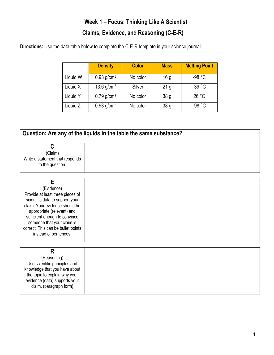## **Week 1** *–* **Focus: Thinking Like A Scientist Claims, Evidence, and Reasoning (C-E-R)**

**Directions:** Use the data table below to complete the C-E-R template in your science journal.

|          | <b>Density</b>           | <b>Color</b> | <b>Mass</b>     | <b>Melting Point</b> |
|----------|--------------------------|--------------|-----------------|----------------------|
| Liquid W | $0.93$ g/cm <sup>3</sup> | No color     | 16 g            | $-98 °C$             |
| Liquid X | 13.6 $g/cm^{3}$          | Silver       | 21 <sub>g</sub> | $-39 °C$             |
| Liquid Y | $0.79$ g/cm <sup>3</sup> | No color     | 38 <sub>g</sub> | 26 °C                |
| Liquid Z | $0.93$ g/cm <sup>3</sup> | No color     | 38 <sub>g</sub> | $-98 °C$             |

|                                                                                                                                                                                                                                                                                      | Question: Are any of the liquids in the table the same substance? |  |  |
|--------------------------------------------------------------------------------------------------------------------------------------------------------------------------------------------------------------------------------------------------------------------------------------|-------------------------------------------------------------------|--|--|
| C<br>(Claim)<br>Write a statement that responds<br>to the question.                                                                                                                                                                                                                  |                                                                   |  |  |
| E<br>(Evidence)<br>Provide at least three pieces of<br>scientific data to support your<br>claim. Your evidence should be<br>appropriate (relevant) and<br>sufficient enough to convince<br>someone that your claim is<br>correct. This can be bullet points<br>instead of sentences. |                                                                   |  |  |
| R<br>(Reasoning)<br>Use scientific principles and<br>knowledge that you have about<br>the topic to explain why your<br>evidence (data) supports your<br>claim. (paragraph form)                                                                                                      |                                                                   |  |  |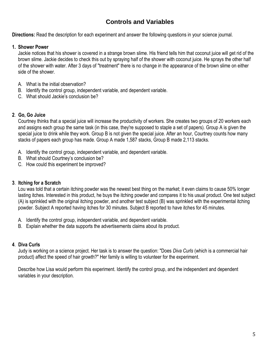## **Controls and Variables**

**Directions:** Read the description for each experiment and answer the following questions in your science journal.

#### **1. Shower Power**

Jackie notices that his shower is covered in a strange brown slime. His friend tells him that coconut juice will get rid of the brown slime. Jackie decides to check this out by spraying half of the shower with coconut juice. He sprays the other half of the shower with water. After 3 days of "treatment" there is no change in the appearance of the brown slime on either side of the shower.

- A. What is the initial observation?
- B. Identify the control group, independent variable, and dependent variable.
- C. What should Jackie's conclusion be?

#### **2**. **Go, Go Juice**

Courtney thinks that a special juice will increase the productivity of workers. She creates two groups of 20 workers each and assigns each group the same task (in this case, they're supposed to staple a set of papers). Group A is given the special juice to drink while they work. Group B is not given the special juice. After an hour, Courtney counts how many stacks of papers each group has made. Group A made 1,587 stacks, Group B made 2,113 stacks.

- A. Identify the control group, independent variable, and dependent variable.
- B. What should Courtney's conclusion be?
- C. How could this experiment be improved?

#### **3**. **Itching for a Scratch**

Lou was told that a certain itching powder was the newest best thing on the market; it even claims to cause 50% longer lasting itches. Interested in this product, he buys the itching powder and compares it to his usual product. One test subject (A) is sprinkled with the original itching powder, and another test subject (B) was sprinkled with the experimental itching powder. Subject A reported having itches for 30 minutes. Subject B reported to have itches for 45 minutes.

- A. Identify the control group, independent variable, and dependent variable.
- B. Explain whether the data supports the advertisements claims about its product.

#### **4**. **Diva Curls**

Judy is working on a science project. Her task is to answer the question: "Does *Diva Curls* (which is a commercial hair product) affect the speed of hair growth?" Her family is willing to volunteer for the experiment.

Describe how Lisa would perform this experiment. Identify the control group, and the independent and dependent variables in your description.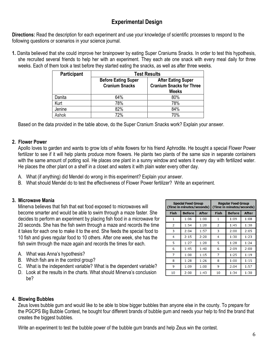## **Experimental Design**

**Directions:** Read the description for each experiment and use your knowledge of scientific processes to respond to the following questions or scenarios in your science journal.

**1.** Danita believed that she could improve her brainpower by eating Super Craniums Snacks. In order to test this hypothesis, she recruited several friends to help her with an experiment. They each ate one snack with every meal daily for three weeks. Each of them took a test before they started eating the snacks, as well as after three weeks.

| <b>Participant</b> | <b>Test Results</b>                                 |                                                                              |  |
|--------------------|-----------------------------------------------------|------------------------------------------------------------------------------|--|
|                    | <b>Before Eating Super</b><br><b>Cranium Snacks</b> | <b>After Eating Super</b><br><b>Cranium Snacks for Three</b><br><b>Weeks</b> |  |
| Danita             | 64%                                                 | 80%                                                                          |  |
| Kurt               | 78%                                                 | 78%                                                                          |  |
| Jenine             | 82%                                                 | 84%                                                                          |  |
| Ashok              | 72%                                                 | 70%                                                                          |  |

Based on the data provided in the table above, do the Super Cranium Snacks work? Explain your answer.

#### **2. Flower Power**

Apollo loves to garden and wants to grow lots of white flowers for his friend Aphrodite. He bought a special Flower Power fertilizer to see if it will help plants produce more flowers. He plants two plants of the same size in separate containers with the same amount of potting soil. He places one plant in a sunny window and waters it every day with fertilized water. He places the other plant on a shelf in a closet and waters it with plain water every other day.

- A. What (if anything) did Mendel do wrong in this experiment? Explain your answer.
- B. What should Mendel do to test the effectiveness of Flower Power fertilizer? Write an experiment.

#### **3. Microwave Mania**

Minerva believes that fish that eat food exposed to microwaves will become smarter and would be able to swim through a maze faster. She decides to perform an experiment by placing fish food in a microwave for 20 seconds. She has the fish swim through a maze and records the time it takes for each one to make it to the end. She feeds the special food to 10 fish and gives regular food to 10 others. After one week, she has the fish swim through the maze again and records the times for each.

- A. What was Anna's hypothesis?
- B. Which fish are in the control group?
- C. What is the independent variable? What is the dependent variable?
- D. Look at the results in the charts. What should Minerva's conclusion. be?

| <b>Special Food Group</b><br>(Time in minutes/seconds) |               |              | <b>Regular Food Group</b><br>(Time in minutes/seconds) |               |              |
|--------------------------------------------------------|---------------|--------------|--------------------------------------------------------|---------------|--------------|
| <b>Fish</b>                                            | <b>Before</b> | <b>After</b> | <b>Fish</b>                                            | <b>Before</b> | <b>After</b> |
| 1                                                      | 1:06          | 1:00         | 1                                                      | 1:09          | 1:08         |
| $\overline{2}$                                         | 1:54          | 1:20         | $\overline{2}$                                         | 1:45          | 1:30         |
| 3                                                      | 2:04          | 1:57         | 3                                                      | 2:00          | 2:05         |
| 4                                                      | 2:15          | 2:20         | 4                                                      | 1:30          | 1:23         |
| 5                                                      | 1:27          | 1:20         | 5                                                      | 1:28          | 1:24         |
| 6                                                      | 1:45          | 1:40         | 6                                                      | 2:09          | 2:00         |
| 7                                                      | 1:00          | 1:15         | 7                                                      | 1:25          | 1:19         |
| 8                                                      | 1:28          | 1:26         | 8                                                      | 1:00          | 1:15         |
| 9                                                      | 1:09          | 1:00         | 9                                                      | 2:04          | 1:57         |
| 10                                                     | 2:00          | 1:43         | 10                                                     | 1:34          | 1:30         |

#### **4. Blowing Bubbles**

Zeus loves bubble gum and would like to be able to blow bigger bubbles than anyone else in the county. To prepare for the PGCPS Big Bubble Contest, he bought four different brands of bubble gum and needs your help to find the brand that creates the biggest bubbles.

Write an experiment to test the bubble power of the bubble gum brands and help Zeus win the contest.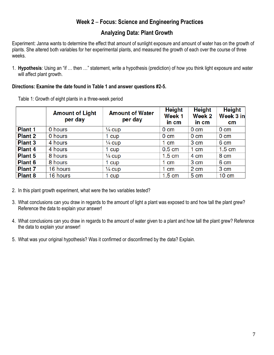## **Week 2** *–* **Focus: Science and Engineering Practices**

#### **Analyzing Data: Plant Growth**

Experiment: Janna wants to determine the effect that amount of sunlight exposure and amount of water has on the growth of plants. She altered both variables for her experimental plants, and measured the growth of each over the course of three weeks.

1. **Hypothesis**: Using an "if … then …" statement, write a hypothesis (prediction) of how you think light exposure and water will affect plant growth.

#### **Directions: Examine the date found in Table 1 and answer questions #2-5.**

|                | <b>Amount of Light</b><br>per day | <b>Amount of Water</b><br>per day | <b>Height</b><br>Week 1<br>in cm | <b>Height</b><br>Week 2<br>in cm | <b>Height</b><br>Week 3 in<br>cm |
|----------------|-----------------------------------|-----------------------------------|----------------------------------|----------------------------------|----------------------------------|
| <b>Plant 1</b> | 0 hours                           | $\frac{1}{4}$ cup                 | $0 \text{ cm}$                   | $0 \text{ cm}$                   | $0 \text{ cm}$                   |
| <b>Plant 2</b> | 0 hours                           | 1 cup                             | $0 \text{ cm}$                   | $0 \text{ cm}$                   | $0 \text{ cm}$                   |
| <b>Plant 3</b> | 4 hours                           | $\frac{1}{4}$ cup                 | 1 cm                             | 3 cm                             | 6 cm                             |
| <b>Plant 4</b> | 4 hours                           | 1 cup                             | $0.5 \text{ cm}$                 | 1 cm                             | $1.5 \text{ cm}$                 |
| <b>Plant 5</b> | 8 hours                           | $\frac{1}{4}$ cup                 | $1.5 \text{ cm}$                 | 4 cm                             | 8 cm                             |
| <b>Plant 6</b> | 8 hours                           | 1 cup                             | 1 cm                             | 3 cm                             | 6 cm                             |
| <b>Plant 7</b> | 16 hours                          | $\frac{1}{4}$ cup                 | 1 cm                             | 2 cm                             | 3 cm                             |
| <b>Plant 8</b> | 16 hours                          | 1 cup                             | $1.5 \text{ cm}$                 | 5 cm                             | $10 \text{ cm}$                  |

Table 1: Growth of eight plants in a three-week period

- 2. In this plant growth experiment, what were the two variables tested?
- 3. What conclusions can you draw in regards to the amount of light a plant was exposed to and how tall the plant grew? Reference the data to explain your answer!
- 4. What conclusions can you draw in regards to the amount of water given to a plant and how tall the plant grew? Reference the data to explain your answer!
- 5. What was your original hypothesis? Was it confirmed or disconfirmed by the data? Explain.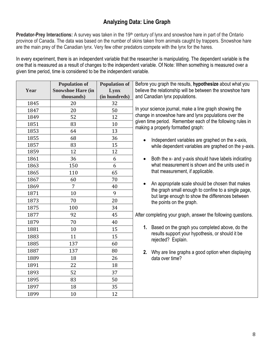## **Analyzing Data: Line Graph**

**Predator-Prey Interactions:** A survey was taken in the 19<sup>th</sup> century of lynx and snowshoe hare in part of the Ontario province of Canada. The data was based on the number of skins taken from animals caught by trappers. Snowshoe hare are the main prey of the Canadian lynx. Very few other predators compete with the lynx for the hares.

In every experiment, there is an independent variable that the researcher is manipulating. The dependent variable is the one that is measured as a result of changes to the independent variable. Of Note: When something is measured over a given time period, time is considered to be the independent variable.

|      | <b>Population of</b>     | <b>Population of</b> | Before you graph the results, hypothesize about what you                                                            |
|------|--------------------------|----------------------|---------------------------------------------------------------------------------------------------------------------|
| Year | <b>Snowshoe Hare (in</b> | Lynx                 | believe the relationship will be between the snowshoe hare                                                          |
|      | thousands)               | (in hundreds)        | and Canadian lynx populations.                                                                                      |
| 1845 | 20                       | 32                   |                                                                                                                     |
| 1847 | 20                       | 50                   | In your science journal, make a line graph showing the                                                              |
| 1849 | 52                       | 12                   | change in snowshoe hare and lynx populations over the<br>given time period. Remember each of the following rules in |
| 1851 | 83                       | 10                   | making a properly formatted graph:                                                                                  |
| 1853 | 64                       | 13                   |                                                                                                                     |
| 1855 | 68                       | 36                   | Independent variables are graphed on the x-axis,                                                                    |
| 1857 | 83                       | 15                   | while dependent variables are graphed on the y-axis.                                                                |
| 1859 | 12                       | 12                   |                                                                                                                     |
| 1861 | 36                       | 6                    | Both the x- and y-axis should have labels indicating                                                                |
| 1863 | 150                      | 6                    | what measurement is shown and the units used in                                                                     |
| 1865 | 110                      | 65                   | that measurement, if applicable.                                                                                    |
| 1867 | 60                       | 70                   |                                                                                                                     |
| 1869 | $\overline{7}$           | 40                   | An appropriate scale should be chosen that makes                                                                    |
| 1871 | 10                       | 9                    | the graph small enough to confine to a single page,<br>but large enough to show the differences between             |
| 1873 | 70                       | 20                   | the points on the graph.                                                                                            |
| 1875 | 100                      | 34                   |                                                                                                                     |
| 1877 | 92                       | 45                   | After completing your graph, answer the following questions.                                                        |
| 1879 | 70                       | 40                   |                                                                                                                     |
| 1881 | 10                       | 15                   | 1. Based on the graph you completed above, do the                                                                   |
| 1883 | 11                       | 15                   | results support your hypothesis, or should it be                                                                    |
| 1885 | 137                      | 60                   | rejected? Explain.                                                                                                  |
| 1887 | 137                      | 80                   | 2. Why are line graphs a good option when displaying                                                                |
| 1889 | 18                       | 26                   | data over time?                                                                                                     |
| 1891 | 22                       | 18                   |                                                                                                                     |
| 1893 | 52                       | 37                   |                                                                                                                     |
| 1895 | 83                       | 50                   |                                                                                                                     |
| 1897 | 18                       | 35                   |                                                                                                                     |
| 1899 | 10                       | 12                   |                                                                                                                     |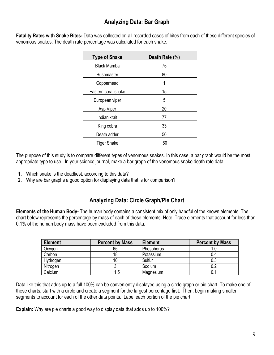## **Analyzing Data: Bar Graph**

**Fatality Rates with Snake Bites-** Data was collected on all recorded cases of bites from each of these different species of venomous snakes. The death rate percentage was calculated for each snake.

| <b>Type of Snake</b> | Death Rate (%) |
|----------------------|----------------|
| <b>Black Mamba</b>   | 75             |
| <b>Bushmaster</b>    | 80             |
| Copperhead           | 1              |
| Eastern coral snake  | 15             |
| European viper       | 5              |
| Asp Viper            | 20             |
| Indian krait         | 77             |
| King cobra           | 33             |
| Death adder          | 50             |
| <b>Tiger Snake</b>   | 60             |

The purpose of this study is to compare different types of venomous snakes. In this case, a bar graph would be the most appropriate type to use. In your science journal, make a bar graph of the venomous snake death rate data.

- **1.** Which snake is the deadliest, according to this data?
- **2.** Why are bar graphs a good option for displaying data that is for comparison?

### **Analyzing Data: Circle Graph/Pie Chart**

**Elements of the Human Body-** The human body contains a consistent mix of only handful of the known elements. The chart below represents the percentage by mass of each of these elements. Note: Trace elements that account for less than 0.1% of the human body mass have been excluded from this data.

| <b>Element</b> | <b>Percent by Mass</b> | <b>Element</b> | <b>Percent by Mass</b> |
|----------------|------------------------|----------------|------------------------|
| Oxygen         | 65                     | Phosphorus     |                        |
| Carbon         | 18                     | Potassium      | 0.4                    |
| Hydrogen       | 10                     | Sulfur         | 0.3                    |
| Nitrogen       |                        | Sodium         | 0.2                    |
| Calcium        | 1.5                    | Magnesium      |                        |

Data like this that adds up to a full 100% can be conveniently displayed using a circle graph or pie chart. To make one of these charts, start with a circle and create a segment for the largest percentage first. Then, begin making smaller segments to account for each of the other data points. Label each portion of the pie chart.

**Explain:** Why are pie charts a good way to display data that adds up to 100%?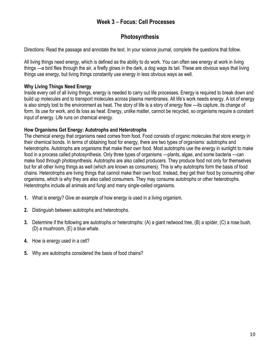### **Week 3** *–* **Focus: Cell Processes**

#### **Photosynthesis**

Directions: Read the passage and annotate the text. In your science journal, complete the questions that follow.

All living things need energy, which is defined as the ability to do work. You can often see energy at work in living things —a bird flies through the air, a firefly glows in the dark, a dog wags its tail. These are obvious ways that living things use energy, but living things constantly use energy in less obvious ways as well.

#### **Why Living Things Need Energy**

Inside every cell of all living things, energy is needed to carry out life processes. Energy is required to break down and build up molecules and to transport molecules across plasma membranes. All life's work needs energy. A lot of energy is also simply lost to the environment as heat. The story of life is a story of energy flow —its capture, its change of form, its use for work, and its loss as heat. Energy, unlike matter, cannot be recycled, so organisms require a constant input of energy. Life runs on chemical energy.

#### **How Organisms Get Energy: Autotrophs and Heterotrophs**

The chemical energy that organisms need comes from food. Food consists of organic molecules that store energy in their chemical bonds. In terms of obtaining food for energy, there are two types of organisms: autotrophs and heterotrophs. Autotrophs are organisms that make their own food. Most autotrophs use the energy in sunlight to make food in a process called photosynthesis. Only three types of organisms —plants, algae, and some bacteria —can make food through photosynthesis. Autotrophs are also called producers. They produce food not only for themselves but for all other living things as well (which are known as consumers). This is why autotrophs form the basis of food chains. Heterotrophs are living things that cannot make their own food. Instead, they get their food by consuming other organisms, which is why they are also called consumers. They may consume autotrophs or other heterotrophs. Heterotrophs include all animals and fungi and many single-celled organisms.

- **1.** What is energy? Give an example of how energy is used in a living organism.
- **2.** Distinguish between autotrophs and heterotrophs.
- **3.** Determine if the following are autotrophs or heterotrophs: (A) a giant redwood tree, (B) a spider, (C) a rose bush, (D) a mushroom, (E) a blue whale.
- **4.** How is energy used in a cell?
- **5.** Why are autotrophs considered the basis of food chains?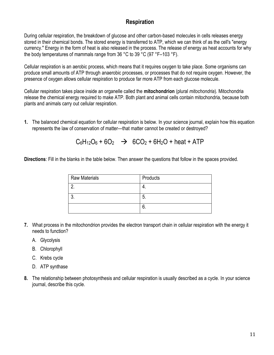## **Respiration**

During cellular respiration, the breakdown of glucose and other carbon-based molecules in cells releases energy stored in their chemical bonds. The stored energy is transferred to ATP, which we can think of as the cell's "energy currency." Energy in the form of heat is also released in the process. The release of energy as heat accounts for why the body temperatures of mammals range from 36 °C to 39 °C (97 °F–103 °F).

Cellular respiration is an [aerobic](https://www.hmhco.com/content/science/sciencedimensions/na/gr9-12/ete_biology_9780544535855_/book_pages/OPS/s9ml/glossary.xhtml#key-14b9d72a2bbd4143b99fcf12c52f2048) process, which means that it requires oxygen to take place. Some organisms can produce small amounts of ATP through [anaerobic](https://www.hmhco.com/content/science/sciencedimensions/na/gr9-12/ete_biology_9780544535855_/book_pages/OPS/s9ml/glossary.xhtml#key-ea5639e8094e4617b77902fe253d5a66) processes, or processes that do not require oxygen. However, the presence of oxygen allows cellular respiration to produce far more ATP from each glucose molecule.

Cellular respiration takes place inside an organelle called the **[mitochondrion](https://www.hmhco.com/content/science/sciencedimensions/na/gr9-12/ete_biology_9780544535855_/book_pages/OPS/s9ml/glossary.xhtml#key-mitochondrion)** (plural *mitochondria*). Mitochondria release the chemical energy required to make ATP. Both plant and animal cells contain mitochondria, because both plants and animals carry out cellular respiration.

**1.** The balanced chemical equation for cellular respiration is below. In your science journal, explain how this equation represents the law of conservation of matter—that matter cannot be created or destroyed?

 $C_6H_{12}O_6 + 6O_2 \rightarrow 6CO_2 + 6H_2O + heat + ATP$ 

**Directions**: Fill in the blanks in the table below. Then answer the questions that follow in the spaces provided.

| <b>Raw Materials</b> | Products |
|----------------------|----------|
|                      | т.       |
|                      | Ⴆ.       |
|                      | 6.       |

- **7.** What process in the mitochondrion provides the electron transport chain in cellular respiration with the energy it needs to function?
	- A. Glycolysis
	- B. Chlorophyll
	- C. Krebs cycle
	- D. ATP synthase
- **8.** The relationship between photosynthesis and cellular respiration is usually described as a cycle. In your science journal, describe this cycle.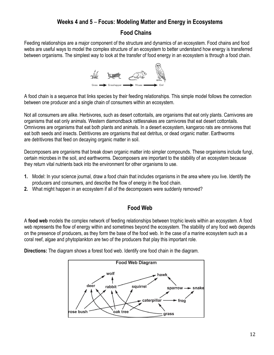## **Weeks 4 and 5** *–* **Focus: Modeling Matter and Energy in Ecosystems**

## **Food Chains**

Feeding relationships are a major component of the structure and dynamics of an ecosystem. Food chains and food webs are useful ways to model the complex structure of an ecosystem to better understand how energy is transferred between organisms. The simplest way to look at the transfer of food energy in an ecosystem is through a food chain.



A food [chain](https://www.hmhco.com/content/science/sciencedimensions/na/gr9-12/ete_biology_9780544535855_/book_pages/OPS/s9ml/glossary.xhtml#key-0192837465pqowieurytmznxbcv) is a sequence that links species by their feeding relationships. This simple model follows the connection between one producer and a single chain of consumers within an ecosystem.

Not all [consumers](https://www.hmhco.com/content/science/sciencedimensions/na/gr9-12/ete_biology_9780544535855_/book_pages/OPS/s9ml/glossary.xhtml#key-ec831bf70c9a4b9fafade25c232ce712) are alike. Herbivores, such as desert cottontails, are organisms that eat only plants. Carnivores are organisms that eat only animals. Western diamondback rattlesnakes are carnivores that eat desert cottontails. Omnivores are organisms that eat both plants and animals. In a desert ecosystem, kangaroo rats are omnivores that eat both seeds and insects. Detritivores are organisms that eat detritus, or dead organic matter. Earthworms are detritivores that feed on decaying organic matter in soil.

Decomposers are organisms that break down organic matter into simpler compounds. These organisms include fungi, certain microbes in the soil, and earthworms. Decomposers are important to the stability of an ecosystem because they return vital nutrients back into the environment for other organisms to use.

- **1.** Model: In your science journal, draw a food chain that includes organisms in the area where you live. Identify the producers and consumers, and describe the flow of energy in the food chain.
- **2.** What might happen in an ecosystem if all of the decomposers were suddenly removed?

### **Food Web**

A **[food](https://www.hmhco.com/content/science/sciencedimensions/na/gr9-12/ete_biology_9780544535855_/book_pages/OPS/s9ml/glossary.xhtml#key-zmxncbvalskdjfhg001199228833774455) web** models the complex network of feeding relationships between trophic levels within an ecosystem. A food web represents the flow of energy within and sometimes beyond the ecosystem. The stability of any food web depends on the presence of producers, as they form the base of the food web. In the case of a marine ecosystem such as a coral reef, algae and phytoplankton are two of the producers that play this important role.

**Directions:** The diagram shows a forest food web. Identify one food chain in the diagram.

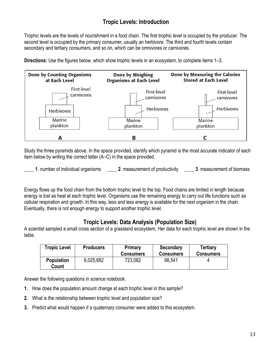## **Tropic Levels: Introduction**

Trophic levels are the levels of nourishment in a food chain. The first trophic level is occupied by the producer. The second level is occupied by the primary consumer, usually an herbivore. The third and fourth levels contain secondary and tertiary consumers, and so on, which can be omnivores or carnivores.

**Directions:** Use the figures below, which show trophic levels in an ecosystem, to complete items 1–3.



Study the three pyramids above. In the space provided, identify which pyramid is the most accurate indicator of each item below by writing the correct letter (A–C) in the space provided.

|  | 1. number of individual organisms | 2. measurement of productivity | 3. measurement of biomass |
|--|-----------------------------------|--------------------------------|---------------------------|
|--|-----------------------------------|--------------------------------|---------------------------|

Energy flows up the food chain from the bottom trophic level to the top. Food chains are limited in length because energy is lost as heat at each trophic level. Organisms use the remaining energy to carry out life functions such as cellular respiration and growth. In this way, less and less energy is available for the next organism in the chain. Eventually, there is not enough energy to support another trophic level.

### **Tropic Levels: Data Analysis (Population Size)**

A scientist sampled a small cross section of a grassland ecosystem. Her data for each trophic level are shown in the table.

| Tropic Level               | <b>Producers</b> | Primary<br><b>Consumers</b> | Secondary<br><b>Consumers</b> | <b>Tertiary</b><br><b>Consumers</b> |
|----------------------------|------------------|-----------------------------|-------------------------------|-------------------------------------|
| <b>Population</b><br>Count | 6,025,682        | 723,082                     | 98,541                        |                                     |

Answer the following questions in science notebook:

- **1.** How does the population amount change at each trophic level in this sample?
- **2.** What is the relationship between trophic level and population size?
- **3.** Predict what would happen if a quaternary consumer were added to this ecosystem.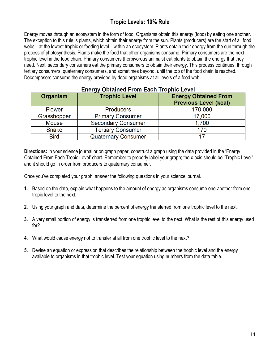## **Tropic Levels: 10% Rule**

Energy moves through an ecosystem in the form of food. Organisms obtain this energy (food) by eating one another. The exception to this rule is plants, which obtain their energy from the sun. Plants (producers) are the start of all food webs—at the lowest trophic or feeding level—within an ecosystem. Plants obtain their energy from the sun through the process of photosynthesis. Plants make the food that other organisms consume. Primary consumers are the next trophic level in the food chain. Primary consumers (herbivorous animals) eat plants to obtain the energy that they need. Next, secondary consumers eat the primary consumers to obtain their energy. This process continues, through tertiary consumers, quaternary consumers, and sometimes beyond, until the top of the food chain is reached. Decomposers consume the energy provided by dead organisms at all levels of a food web.

| <b>Organism</b> | <b>Trophic Level</b>       | <b>Energy Obtained From</b><br><b>Previous Level (kcal)</b> |
|-----------------|----------------------------|-------------------------------------------------------------|
| Flower          | <b>Producers</b>           | 170,000                                                     |
| Grasshopper     | <b>Primary Consumer</b>    | 17,000                                                      |
| <b>Mouse</b>    | <b>Secondary Consumer</b>  | 1,700                                                       |
| Snake           | <b>Tertiary Consumer</b>   | 170                                                         |
| <b>Bird</b>     | <b>Quaternary Consumer</b> | 17                                                          |

#### **Energy Obtained From Fach Trophic Level**

**Directions:** In your science journal or on graph paper, construct a graph using the data provided in the 'Energy Obtained From Each Tropic Level' chart. Remember to properly label your graph; the x-axis should be "Trophic Level" and it should go in order from producers to quaternary consumer.

Once you've completed your graph, answer the following questions in your science journal.

- **1.** Based on the data, explain what happens to the amount of energy as organisms consume one another from one tropic level to the next.
- **2.** Using your graph and data, determine the percent of energy transferred from one trophic level to the next.
- **3.** A very small portion of energy is transferred from one trophic level to the next. What is the rest of this energy used for?
- **4.** What would cause energy not to transfer at all from one trophic level to the next?
- **5.** Devise an equation or expression that describes the relationship between the trophic level and the energy available to organisms in that trophic level. Test your equation using numbers from the data table.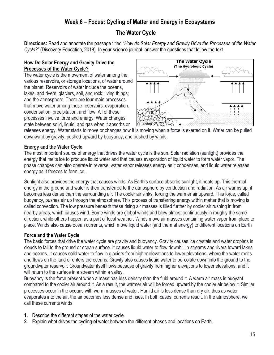## **Week 6** *–* **Focus: Cycling of Matter and Energy in Ecosystems**

#### **The Water Cycle**

**Directions:** Read and annotate the passage titled "*How do Solar Energy and Gravity Drive the Processes of the Water Cycle?"* (Discovery Education, 2018). In your science journal, answer the questions that follow the text.

#### **How Do Solar Energy and Gravity Drive the Processes of the Water Cycle?**

The water cycle is the movement of water among the various reservoirs, or storage locations, of water around the planet. Reservoirs of water include the oceans, lakes, and rivers; glaciers, soil, and rock; living things; and the atmosphere. There are four main processes that move water among these reservoirs: evaporation, condensation, precipitation, and flow. All of these processes involve force and energy. Water changes state between solid, liquid, and gas when it absorbs or



releases energy. Water starts to move or changes how it is moving when a force is exerted on it. Water can be pulled downward by gravity, pushed upward by buoyancy, and pushed by winds.

#### **Energy and the Water Cycle**

The most important source of energy that drives the water cycle is the sun. Solar radiation (sunlight) provides the energy that melts ice to produce liquid water and that causes evaporation of liquid water to form water vapor. The phase changes can also operate in reverse: water vapor releases energy as it condenses, and liquid water releases energy as it freezes to form ice.

Sunlight also provides the energy that causes winds. As Earth's surface absorbs sunlight, it heats up. This thermal energy in the ground and water is then transferred to the atmosphere by conduction and radiation. As air warms up, it becomes less dense than the surrounding air. The cooler air sinks, forcing the warmer air upward. This force, called buoyancy, pushes air up through the atmosphere. This process of transferring energy within matter that is moving is called convection. The low pressure beneath these rising air masses is filled further by cooler air rushing in from nearby areas, which causes wind. Some winds are global winds and blow almost continuously in roughly the same direction, while others happen as a part of local weather. Winds move air masses containing water vapor from place to place. Winds also cause ocean currents, which move liquid water (and thermal energy) to different locations on Earth

#### **Force and the Water Cycle**

The basic forces that drive the water cycle are gravity and buoyancy. Gravity causes ice crystals and water droplets in clouds to fall to the ground or ocean surface. It causes liquid water to flow downhill in streams and rivers toward lakes and oceans. It causes solid water to flow in glaciers from higher elevations to lower elevations, where the water melts and flows on the land or enters the oceans. Gravity also causes liquid water to percolate down into the ground to the groundwater reservoir. Groundwater itself flows because of gravity from higher elevations to lower elevations, and it will return to the surface in a stream within a valley.

Buoyancy is the force present when a mass has less density than the fluid around it. A warm air mass is buoyant compared to the cooler air around it. As a result, the warmer air will be forced upward by the cooler air below it. Similar processes occur in the oceans with warm masses of water. Humid air is less dense than dry air, thus as water evaporates into the air, the air becomes less dense and rises. In both cases, currents result. In the atmosphere, we call these currents winds.

- **1.** Describe the different stages of the water cycle.
- **2.** Explain what drives the cycling of water between the different phases and locations on Earth.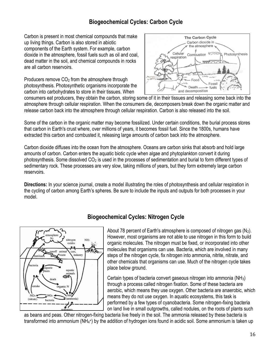## **Biogeochemical Cycles: Carbon Cycle**

Carbon is present in most chemical compounds that make up living things. Carbon is also stored in abiotic components of the Earth system. For example, carbon dioxide in the atmosphere, fossil fuels such as oil and coal, dead matter in the soil, and chemical compounds in rocks are all carbon reservoirs.

Producers remove  $CO<sub>2</sub>$  from the atmosphere through photosynthesis. Photosynthetic organisms incorporate the carbon into carbohydrates to store in their tissues. When



consumers eat producers, they obtain the carbon, storing some of it in their tissues and releasing some back into the atmosphere through cellular respiration. When the consumers die, decomposers break down the organic matter and release carbon back into the atmosphere through cellular respiration. Carbon is also released into the soil.

Some of the carbon in the organic matter may become fossilized. Under certain conditions, the burial process stores that carbon in Earth's crust where, over millions of years, it becomes [fossil](https://www.hmhco.com/content/science/sciencedimensions/na/gr9-12/ete_biology_9780544535855_/book_pages/OPS/s9ml/glossary.xhtml#key-jdfoad90834gtenvfbbfgbwrthwrthn) fuel. Since the 1800s, humans have extracted this carbon and combusted it, releasing large amounts of carbon back into the atmosphere.

Carbon dioxide diffuses into the ocean from the atmosphere. Oceans are carbon sinks that absorb and hold large amounts of carbon. Carbon enters the aquatic biotic cycle when algae and phytoplankton convert it during photosynthesis. Some dissolved  $CO<sub>2</sub>$  is used in the processes of sedimentation and burial to form different types of sedimentary rock. These processes are very slow, taking millions of years, but they form extremely large carbon reservoirs.

**Directions:** In your science journal, create a model illustrating the roles of photosynthesis and cellular respiration in the cycling of carbon among Earth's spheres. Be sure to include the inputs and outputs for both processes in your model.



## **Biogeochemical Cycles: Nitrogen Cycle**

About 78 percent of Earth's atmosphere is composed of nitrogen gas  $(N_2)$ . However, most organisms are not able to use nitrogen in this form to build organic molecules. The nitrogen must be fixed, or incorporated into other molecules that organisms can use. Bacteria, which are involved in many steps of the nitrogen cycle, fix nitrogen into ammonia, nitrite, nitrate, and other chemicals that organisms can use. Much of the nitrogen cycle takes place below ground.

Certain types of bacteria convert gaseous nitrogen into ammonia (NH3) through a process called nitrogen fixation. Some of these bacteria are aerobic, which means they use oxygen. Other bacteria are anaerobic, which means they do not use oxygen. In aquatic ecosystems, this task is performed by a few types of cyanobacteria. Some nitrogen-fixing bacteria on land live in small outgrowths, called nodules, on the roots of plants such

as beans and peas. Other nitrogen-fixing bacteria live freely in the soil. The ammonia released by these bacteria is transformed into ammonium (NH<sub>4</sub>+) by the addition of hydrogen ions found in acidic soil. Some ammonium is taken up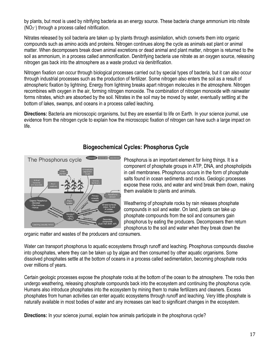by plants, but most is used by nitrifying bacteria as an energy source. These bacteria change ammonium into nitrate (NO<sup>3</sup> – ) through a process called nitrification.

Nitrates released by soil bacteria are taken up by plants through assimilation, which converts them into organic compounds such as amino acids and proteins. Nitrogen continues along the cycle as animals eat plant or animal matter. When decomposers break down animal excretions or dead animal and plant matter, nitrogen is returned to the soil as ammonium, in a process called ammonification. Denitrifying bacteria use nitrate as an oxygen source, releasing nitrogen gas back into the atmosphere as a waste product via denitrification.

Nitrogen fixation can occur through biological processes carried out by special types of bacteria, but it can also occur through industrial processes such as the production of fertilizer. Some nitrogen also enters the soil as a result of atmospheric fixation by lightning. Energy from lightning breaks apart nitrogen molecules in the atmosphere. Nitrogen recombines with oxygen in the air, forming nitrogen monoxide. The combination of nitrogen monoxide with rainwater forms nitrates, which are absorbed by the soil. Nitrates in the soil may be moved by water, eventually settling at the bottom of lakes, swamps, and oceans in a process called leaching.

**Directions:** Bacteria are microscopic organisms, but they are essential to life on Earth. In your science journal, use evidence from the nitrogen cycle to explain how the microscopic fixation of nitrogen can have such a large impact on life.



## **Biogeochemical Cycles: Phosphorus Cycle**

Phosphorus is an important element for living things. It is a component of phosphate groups in ATP, DNA, and phospholipids in cell membranes. Phosphorus occurs in the form of phosphate salts found in ocean sediments and rocks. Geologic processes expose these rocks, and water and wind break them down, making them available to plants and animals.

Weathering of phosphate rocks by rain releases phosphate compounds in soil and water. On land, plants can take up phosphate compounds from the soil and consumers gain phosphorus by eating the producers. Decomposers then return phosphorus to the soil and water when they break down the

organic matter and wastes of the producers and consumers.

Water can transport phosphorus to aquatic ecosystems through runoff and leaching. Phosphorus compounds dissolve into phosphates, where they can be taken up by algae and then consumed by other aquatic organisms. Some dissolved phosphates settle at the bottom of oceans in a process called sedimentation, becoming phosphate rocks over millions of years.

Certain geologic processes expose the phosphate rocks at the bottom of the ocean to the atmosphere. The rocks then undergo weathering, releasing phosphate compounds back into the ecosystem and continuing the phosphorus cycle. Humans also introduce phosphates into the ecosystem by mining them to make fertilizers and cleaners. Excess phosphates from human activities can enter aquatic ecosystems through runoff and leaching. Very little phosphate is naturally available in most bodies of water and any increases can lead to significant changes in the ecosystem.

**Directions:** In your science journal, explain how animals participate in the phosphorus cycle?